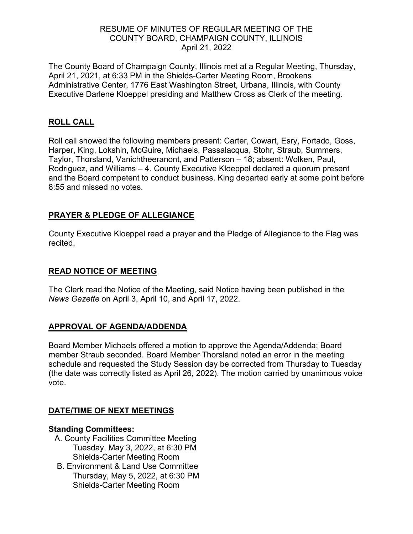## RESUME OF MINUTES OF REGULAR MEETING OF THE COUNTY BOARD, CHAMPAIGN COUNTY, ILLINOIS April 21, 2022

The County Board of Champaign County, Illinois met at a Regular Meeting, Thursday, April 21, 2021, at 6:33 PM in the Shields-Carter Meeting Room, Brookens Administrative Center, 1776 East Washington Street, Urbana, Illinois, with County Executive Darlene Kloeppel presiding and Matthew Cross as Clerk of the meeting.

# **ROLL CALL**

Roll call showed the following members present: Carter, Cowart, Esry, Fortado, Goss, Harper, King, Lokshin, McGuire, Michaels, Passalacqua, Stohr, Straub, Summers, Taylor, Thorsland, Vanichtheeranont, and Patterson – 18; absent: Wolken, Paul, Rodriguez, and Williams – 4. County Executive Kloeppel declared a quorum present and the Board competent to conduct business. King departed early at some point before 8:55 and missed no votes.

# **PRAYER & PLEDGE OF ALLEGIANCE**

County Executive Kloeppel read a prayer and the Pledge of Allegiance to the Flag was recited.

### **READ NOTICE OF MEETING**

The Clerk read the Notice of the Meeting, said Notice having been published in the *News Gazette* on April 3, April 10, and April 17, 2022.

### **APPROVAL OF AGENDA/ADDENDA**

Board Member Michaels offered a motion to approve the Agenda/Addenda; Board member Straub seconded. Board Member Thorsland noted an error in the meeting schedule and requested the Study Session day be corrected from Thursday to Tuesday (the date was correctly listed as April 26, 2022). The motion carried by unanimous voice vote.

### **DATE/TIME OF NEXT MEETINGS**

### **Standing Committees:**

- A. County Facilities Committee Meeting Tuesday, May 3, 2022, at 6:30 PM Shields-Carter Meeting Room
- B. Environment & Land Use Committee Thursday, May 5, 2022, at 6:30 PM Shields-Carter Meeting Room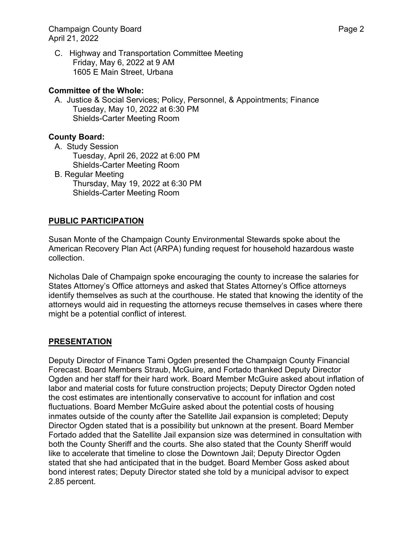Champaign County Board **Page 2** and Page 2 April 21, 2022

C. Highway and Transportation Committee Meeting Friday, May 6, 2022 at 9 AM 1605 E Main Street, Urbana

#### **Committee of the Whole:**

A. Justice & Social Services; Policy, Personnel, & Appointments; Finance Tuesday, May 10, 2022 at 6:30 PM Shields-Carter Meeting Room

#### **County Board:**

- A. Study Session Tuesday, April 26, 2022 at 6:00 PM Shields-Carter Meeting Room B. Regular Meeting
	- Thursday, May 19, 2022 at 6:30 PM Shields-Carter Meeting Room

### **PUBLIC PARTICIPATION**

Susan Monte of the Champaign County Environmental Stewards spoke about the American Recovery Plan Act (ARPA) funding request for household hazardous waste collection.

Nicholas Dale of Champaign spoke encouraging the county to increase the salaries for States Attorney's Office attorneys and asked that States Attorney's Office attorneys identify themselves as such at the courthouse. He stated that knowing the identity of the attorneys would aid in requesting the attorneys recuse themselves in cases where there might be a potential conflict of interest.

### **PRESENTATION**

Deputy Director of Finance Tami Ogden presented the Champaign County Financial Forecast. Board Members Straub, McGuire, and Fortado thanked Deputy Director Ogden and her staff for their hard work. Board Member McGuire asked about inflation of labor and material costs for future construction projects; Deputy Director Ogden noted the cost estimates are intentionally conservative to account for inflation and cost fluctuations. Board Member McGuire asked about the potential costs of housing inmates outside of the county after the Satellite Jail expansion is completed; Deputy Director Ogden stated that is a possibility but unknown at the present. Board Member Fortado added that the Satellite Jail expansion size was determined in consultation with both the County Sheriff and the courts. She also stated that the County Sheriff would like to accelerate that timeline to close the Downtown Jail; Deputy Director Ogden stated that she had anticipated that in the budget. Board Member Goss asked about bond interest rates; Deputy Director stated she told by a municipal advisor to expect 2.85 percent.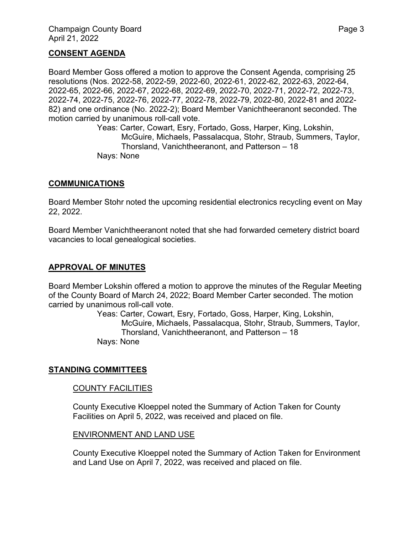#### **CONSENT AGENDA**

Board Member Goss offered a motion to approve the Consent Agenda, comprising 25 resolutions (Nos. 2022-58, 2022-59, 2022-60, 2022-61, 2022-62, 2022-63, 2022-64, 2022-65, 2022-66, 2022-67, 2022-68, 2022-69, 2022-70, 2022-71, 2022-72, 2022-73, 2022-74, 2022-75, 2022-76, 2022-77, 2022-78, 2022-79, 2022-80, 2022-81 and 2022- 82) and one ordinance (No. 2022-2); Board Member Vanichtheeranont seconded. The motion carried by unanimous roll-call vote.

Yeas: Carter, Cowart, Esry, Fortado, Goss, Harper, King, Lokshin, McGuire, Michaels, Passalacqua, Stohr, Straub, Summers, Taylor, Thorsland, Vanichtheeranont, and Patterson – 18 Nays: None

#### **COMMUNICATIONS**

Board Member Stohr noted the upcoming residential electronics recycling event on May 22, 2022.

Board Member Vanichtheeranont noted that she had forwarded cemetery district board vacancies to local genealogical societies.

### **APPROVAL OF MINUTES**

Board Member Lokshin offered a motion to approve the minutes of the Regular Meeting of the County Board of March 24, 2022; Board Member Carter seconded. The motion carried by unanimous roll-call vote.

> Yeas: Carter, Cowart, Esry, Fortado, Goss, Harper, King, Lokshin, McGuire, Michaels, Passalacqua, Stohr, Straub, Summers, Taylor, Thorsland, Vanichtheeranont, and Patterson – 18 Nays: None

### **STANDING COMMITTEES**

#### COUNTY FACILITIES

County Executive Kloeppel noted the Summary of Action Taken for County Facilities on April 5, 2022, was received and placed on file.

#### ENVIRONMENT AND LAND USE

County Executive Kloeppel noted the Summary of Action Taken for Environment and Land Use on April 7, 2022, was received and placed on file.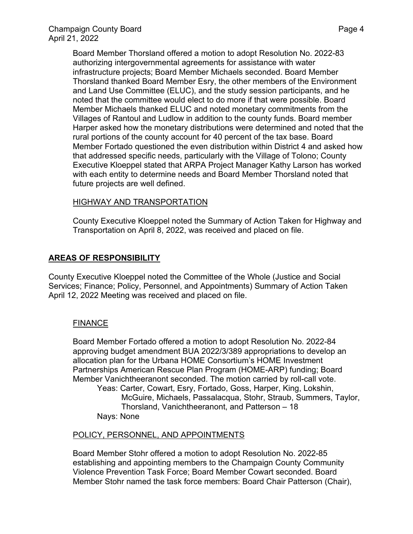Board Member Thorsland offered a motion to adopt Resolution No. 2022-83 authorizing intergovernmental agreements for assistance with water infrastructure projects; Board Member Michaels seconded. Board Member Thorsland thanked Board Member Esry, the other members of the Environment and Land Use Committee (ELUC), and the study session participants, and he noted that the committee would elect to do more if that were possible. Board Member Michaels thanked ELUC and noted monetary commitments from the Villages of Rantoul and Ludlow in addition to the county funds. Board member Harper asked how the monetary distributions were determined and noted that the rural portions of the county account for 40 percent of the tax base. Board Member Fortado questioned the even distribution within District 4 and asked how that addressed specific needs, particularly with the Village of Tolono; County Executive Kloeppel stated that ARPA Project Manager Kathy Larson has worked with each entity to determine needs and Board Member Thorsland noted that future projects are well defined.

## HIGHWAY AND TRANSPORTATION

County Executive Kloeppel noted the Summary of Action Taken for Highway and Transportation on April 8, 2022, was received and placed on file.

# **AREAS OF RESPONSIBILITY**

County Executive Kloeppel noted the Committee of the Whole (Justice and Social Services; Finance; Policy, Personnel, and Appointments) Summary of Action Taken April 12, 2022 Meeting was received and placed on file.

### FINANCE

Board Member Fortado offered a motion to adopt Resolution No. 2022-84 approving budget amendment BUA 2022/3/389 appropriations to develop an allocation plan for the Urbana HOME Consortium's HOME Investment Partnerships American Rescue Plan Program (HOME-ARP) funding; Board Member Vanichtheeranont seconded. The motion carried by roll-call vote. Yeas: Carter, Cowart, Esry, Fortado, Goss, Harper, King, Lokshin, McGuire, Michaels, Passalacqua, Stohr, Straub, Summers, Taylor, Thorsland, Vanichtheeranont, and Patterson – 18 Nays: None

### POLICY, PERSONNEL, AND APPOINTMENTS

Board Member Stohr offered a motion to adopt Resolution No. 2022-85 establishing and appointing members to the Champaign County Community Violence Prevention Task Force; Board Member Cowart seconded. Board Member Stohr named the task force members: Board Chair Patterson (Chair),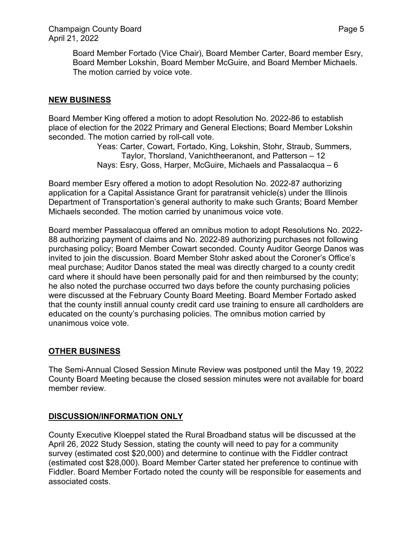Board Member Fortado (Vice Chair), Board Member Carter, Board member Esry, Board Member Lokshin, Board Member McGuire, and Board Member Michaels. The motion carried by voice vote.

# **NEW BUSINESS**

Board Member King offered a motion to adopt Resolution No. 2022-86 to establish place of election for the 2022 Primary and General Elections; Board Member Lokshin seconded. The motion carried by roll-call vote.

Yeas: Carter, Cowart, Fortado, King, Lokshin, Stohr, Straub, Summers, Taylor, Thorsland, Vanichtheeranont, and Patterson – 12 Nays: Esry, Goss, Harper, McGuire, Michaels and Passalacqua – 6

Board member Esry offered a motion to adopt Resolution No. 2022-87 authorizing application for a Capital Assistance Grant for paratransit vehicle(s) under the Illinois Department of Transportation's general authority to make such Grants; Board Member Michaels seconded. The motion carried by unanimous voice vote.

Board member Passalacqua offered an omnibus motion to adopt Resolutions No. 2022- 88 authorizing payment of claims and No. 2022-89 authorizing purchases not following purchasing policy; Board Member Cowart seconded. County Auditor George Danos was invited to join the discussion. Board Member Stohr asked about the Coroner's Office's meal purchase; Auditor Danos stated the meal was directly charged to a county credit card where it should have been personally paid for and then reimbursed by the county; he also noted the purchase occurred two days before the county purchasing policies were discussed at the February County Board Meeting. Board Member Fortado asked that the county instill annual county credit card use training to ensure all cardholders are educated on the county's purchasing policies. The omnibus motion carried by unanimous voice vote.

### **OTHER BUSINESS**

The Semi-Annual Closed Session Minute Review was postponed until the May 19, 2022 County Board Meeting because the closed session minutes were not available for board member review.

# **DISCUSSION/INFORMATION ONLY**

County Executive Kloeppel stated the Rural Broadband status will be discussed at the April 26, 2022 Study Session, stating the county will need to pay for a community survey (estimated cost \$20,000) and determine to continue with the Fiddler contract (estimated cost \$28,000). Board Member Carter stated her preference to continue with Fiddler. Board Member Fortado noted the county will be responsible for easements and associated costs.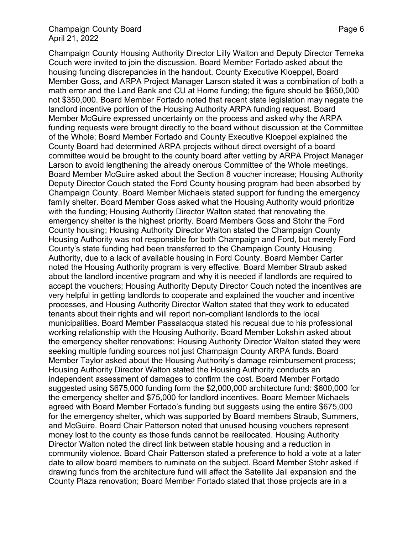#### Champaign County Board **Page 6** and Page 6 April 21, 2022

Champaign County Housing Authority Director Lilly Walton and Deputy Director Temeka Couch were invited to join the discussion. Board Member Fortado asked about the housing funding discrepancies in the handout. County Executive Kloeppel, Board Member Goss, and ARPA Project Manager Larson stated it was a combination of both a math error and the Land Bank and CU at Home funding; the figure should be \$650,000 not \$350,000. Board Member Fortado noted that recent state legislation may negate the landlord incentive portion of the Housing Authority ARPA funding request. Board Member McGuire expressed uncertainty on the process and asked why the ARPA funding requests were brought directly to the board without discussion at the Committee of the Whole; Board Member Fortado and County Executive Kloeppel explained the County Board had determined ARPA projects without direct oversight of a board committee would be brought to the county board after vetting by ARPA Project Manager Larson to avoid lengthening the already onerous Committee of the Whole meetings. Board Member McGuire asked about the Section 8 voucher increase; Housing Authority Deputy Director Couch stated the Ford County housing program had been absorbed by Champaign County. Board Member Michaels stated support for funding the emergency family shelter. Board Member Goss asked what the Housing Authority would prioritize with the funding; Housing Authority Director Walton stated that renovating the emergency shelter is the highest priority. Board Members Goss and Stohr the Ford County housing; Housing Authority Director Walton stated the Champaign County Housing Authority was not responsible for both Champaign and Ford, but merely Ford County's state funding had been transferred to the Champaign County Housing Authority, due to a lack of available housing in Ford County. Board Member Carter noted the Housing Authority program is very effective. Board Member Straub asked about the landlord incentive program and why it is needed if landlords are required to accept the vouchers; Housing Authority Deputy Director Couch noted the incentives are very helpful in getting landlords to cooperate and explained the voucher and incentive processes, and Housing Authority Director Walton stated that they work to educated tenants about their rights and will report non-compliant landlords to the local municipalities. Board Member Passalacqua stated his recusal due to his professional working relationship with the Housing Authority. Board Member Lokshin asked about the emergency shelter renovations; Housing Authority Director Walton stated they were seeking multiple funding sources not just Champaign County ARPA funds. Board Member Taylor asked about the Housing Authority's damage reimbursement process; Housing Authority Director Walton stated the Housing Authority conducts an independent assessment of damages to confirm the cost. Board Member Fortado suggested using \$675,000 funding form the \$2,000,000 architecture fund: \$600,000 for the emergency shelter and \$75,000 for landlord incentives. Board Member Michaels agreed with Board Member Fortado's funding but suggests using the entire \$675,000 for the emergency shelter, which was supported by Board members Straub, Summers, and McGuire. Board Chair Patterson noted that unused housing vouchers represent money lost to the county as those funds cannot be reallocated. Housing Authority Director Walton noted the direct link between stable housing and a reduction in community violence. Board Chair Patterson stated a preference to hold a vote at a later date to allow board members to ruminate on the subject. Board Member Stohr asked if drawing funds from the architecture fund will affect the Satellite Jail expansion and the County Plaza renovation; Board Member Fortado stated that those projects are in a